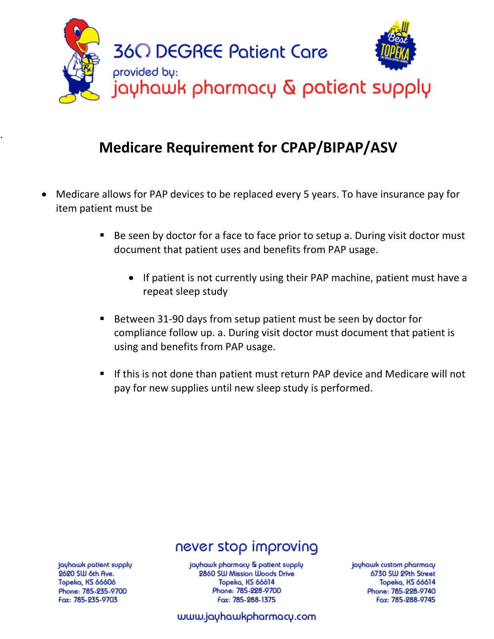

## **Medicare Requirement for CPAP/BIPAP/ASV**

- Medicare allows for PAP devices to be replaced every 5 years. To have insurance pay for item patient must be
	- Be seen by doctor for a face to face prior to setup a. During visit doctor must document that patient uses and benefits from PAP usage.
		- If patient is not currently using their PAP machine, patient must have a repeat sleep study
	- Between 31-90 days from setup patient must be seen by doctor for compliance follow up. a. During visit doctor must document that patient is using and benefits from PAP usage.
	- If this is not done than patient must return PAP device and Medicare will not pay for new supplies until new sleep study is performed.

## never stop improving

jayhawk patient supply 2620 SW 6th Ave. Topeka, KS 66606 Phone: 785-235-9700 Fax: 785-235-9703

.

jayhawk pharmacy & patient supply 2860 SW Mission Woods Drive Topeka, KS 66614 Phone: 785-228-9700 Fax: 785-288-1375

jayhawk custom pharmacy 6730 SW 29th Street **Topeka, KS 66614** Phone: 785-228-9740 Fax: 785-288-9745

www.jayhawkpharmacy.com